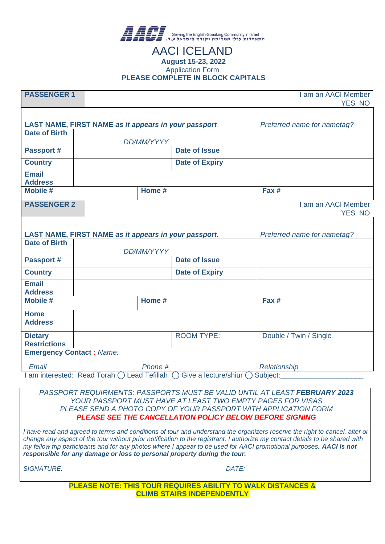

#### AACI ICELAND **August 15-23, 2022** Application Form **PLEASE COMPLETE IN BLOCK CAPITALS**

| <b>PASSENGER 1</b>                    | I am an AACI Member                                         |                                |                               |  |  |
|---------------------------------------|-------------------------------------------------------------|--------------------------------|-------------------------------|--|--|
|                                       |                                                             |                                | YES NO                        |  |  |
|                                       |                                                             |                                |                               |  |  |
|                                       | LAST NAME, FIRST NAME as it appears in your passport        |                                | Preferred name for nametag?   |  |  |
| <b>Date of Birth</b>                  | DD/MM/YYYY                                                  |                                |                               |  |  |
| <b>Passport #</b>                     |                                                             | <b>Date of Issue</b>           |                               |  |  |
| <b>Country</b>                        |                                                             | <b>Date of Expiry</b>          |                               |  |  |
| <b>Email</b><br><b>Address</b>        |                                                             |                                |                               |  |  |
| <b>Mobile #</b>                       | Home #                                                      |                                | Fax #                         |  |  |
| <b>PASSENGER 2</b>                    |                                                             |                                | I am an AACI Member<br>YES NO |  |  |
|                                       |                                                             |                                |                               |  |  |
|                                       | LAST NAME, FIRST NAME as it appears in your passport.       |                                | Preferred name for nametag?   |  |  |
| <b>Date of Birth</b>                  | DD/MM/YYYY                                                  |                                |                               |  |  |
| <b>Passport #</b>                     |                                                             | <b>Date of Issue</b>           |                               |  |  |
| <b>Country</b>                        |                                                             | <b>Date of Expiry</b>          |                               |  |  |
| <b>Email</b><br><b>Address</b>        |                                                             |                                |                               |  |  |
| <b>Mobile #</b>                       | Home #                                                      |                                | Fax #                         |  |  |
| <b>Home</b><br><b>Address</b>         |                                                             |                                |                               |  |  |
| <b>Dietary</b><br><b>Restrictions</b> |                                                             | <b>ROOM TYPE:</b>              | Double / Twin / Single        |  |  |
| <b>Emergency Contact: Name:</b>       |                                                             |                                |                               |  |  |
| Email                                 | Phone #                                                     |                                | Relationship                  |  |  |
|                                       | am interested: Read Torah $\bigcap$<br><b>Lead Tefillah</b> | Give a lecture/shiur $\bigcap$ | Subject:                      |  |  |

*PASSPORT REQUIRMENTS: PASSPORTS MUST BE VALID UNTIL AT LEAST FEBRUARY 2023 YOUR PASSPORT MUST HAVE AT LEAST TWO EMPTY PAGES FOR VISAS PLEASE SEND A PHOTO COPY OF YOUR PASSPORT WITH APPLICATION FORM PLEASE SEE THE CANCELLATION POLICY BELOW BEFORE SIGNING*

*I have read and agreed to terms and conditions of tour and understand the organizers reserve the right to cancel, alter or change any aspect of the tour without prior notification to the registrant. I authorize my contact details to be shared with my fellow trip participants and for any photos where I appear to be used for AACI promotional purposes. AACI is not responsible for any damage or loss to personal property during the tour.*

*SIGNATURE: DATE:*

**PLEASE NOTE: THIS TOUR REQUIRES ABILITY TO WALK DISTANCES & CLIMB STAIRS INDEPENDENTLY**